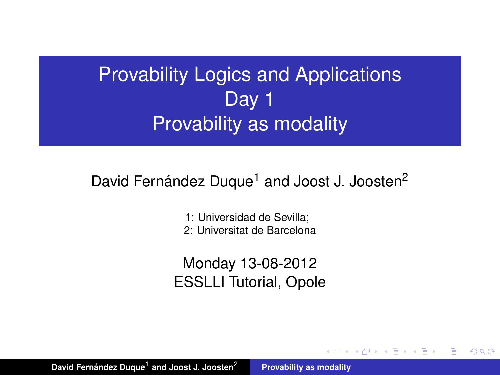# Provability Logics and Applications Day 1 Provability as modality

### David Fernández Duque<sup>1</sup> and Joost J. Joosten<sup>2</sup>

1: Universidad de Sevilla; 2: Universitat de Barcelona

Monday 13-08-2012 ESSLLI Tutorial, Opole

イ何 ト イヨ ト イヨ ト

<span id="page-0-0"></span>Þ  $2Q$ 

David Fernández Duque<sup>1</sup> **[Provability as modality](#page-44-0)**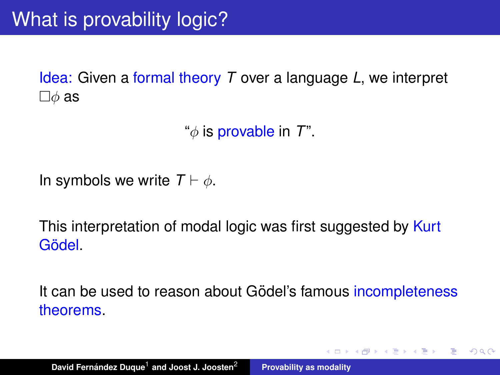Idea: Given a formal theory *T* over a language *L*, we interpret  $\square \phi$  as

"φ is provable in *T*".

In symbols we write  $T \vdash \phi$ .

This interpretation of modal logic was first suggested by Kurt Gödel <sub>i</sub>

It can be used to reason about Gödel's famous incompleteness theorems.

す 御 メ イ 重 メ イ 重 メー

重  $2Q$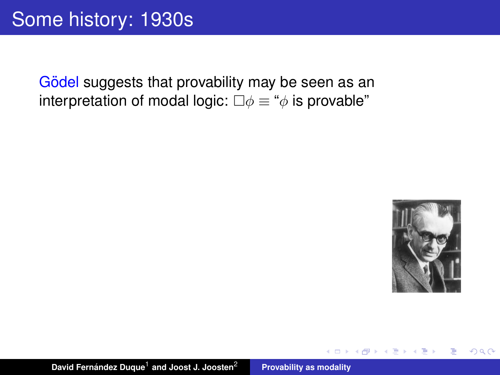Gödel suggests that provability may be seen as an interpretation of modal logic:  $\square \phi \equiv \phi$  is provable"



 $299$ 

重

 $\overline{AB}$   $\rightarrow$   $\overline{AB}$   $\rightarrow$   $\overline{AB}$   $\rightarrow$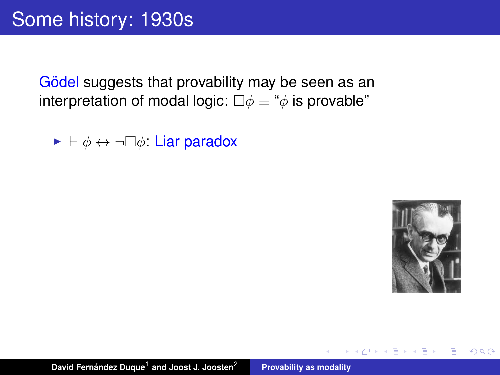Gödel suggests that provability may be seen as an interpretation of modal logic:  $\square \phi \equiv \phi$  is provable"

 $\blacktriangleright \vdash \phi \leftrightarrow \neg \Box \phi$ : Liar paradox



 $299$ 

Þ

 $\overline{AB}$   $\rightarrow$   $\overline{AB}$   $\rightarrow$   $\overline{AB}$   $\rightarrow$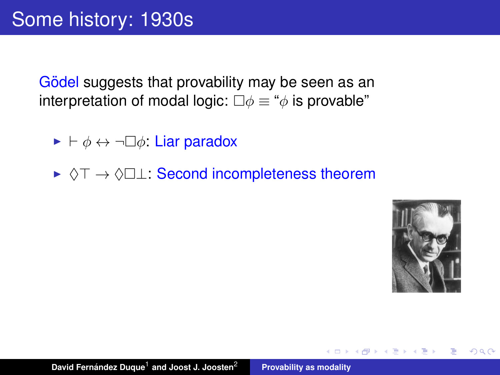Gödel suggests that provability may be seen as an interpretation of modal logic:  $\square \phi \equiv \phi$  is provable"

- $\blacktriangleright \vdash \phi \leftrightarrow \neg \Box \phi$ : Liar paradox
- ►  $\Diamond$ T  $\rightarrow$   $\Diamond$  $\Box$  Second incompleteness theorem



Þ  $2Q$ 

 $\overline{AB}$   $\rightarrow$   $\overline{AB}$   $\rightarrow$   $\overline{AB}$   $\rightarrow$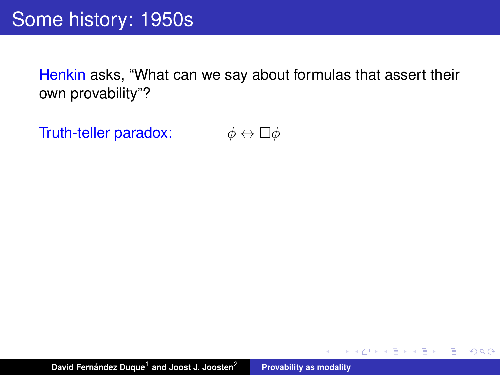Henkin asks, "What can we say about formulas that assert their own provability"?

Truth-teller paradox:  $\phi \leftrightarrow \Box \phi$ 

K 御 と K 唐 と K 唐 と

 $299$ 

重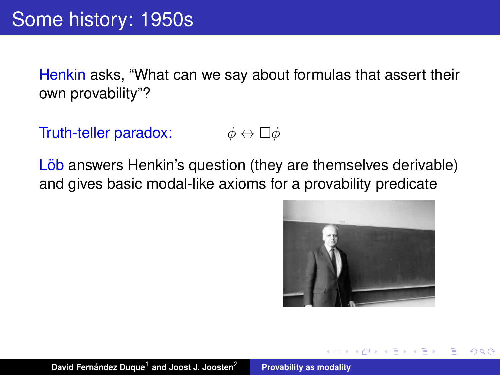Henkin asks, "What can we say about formulas that assert their own provability"?

Truth-teller paradox:  $\phi \leftrightarrow \Box \phi$ 

Löb answers Henkin's question (they are themselves derivable) and gives basic modal-like axioms for a provability predicate

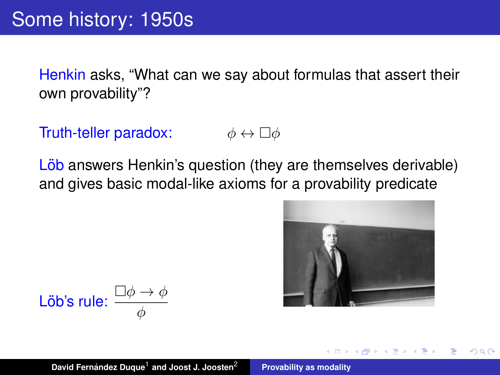Henkin asks, "What can we say about formulas that assert their own provability"?

Truth-teller paradox:  $\phi \leftrightarrow \Box \phi$ 

Löb answers Henkin's question (they are themselves derivable) and gives basic modal-like axioms for a provability predicate



$$
\text{L\"ob's rule: } \frac{\Box \phi \to \phi}{\phi}
$$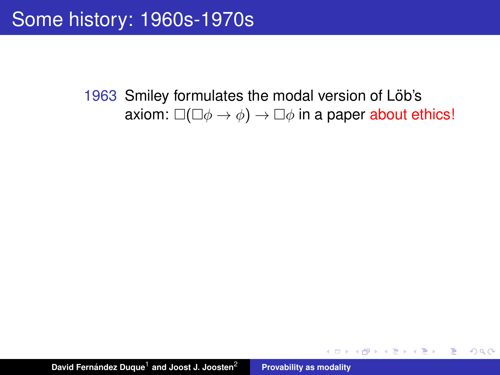(御) (言) (言)

重

 $299$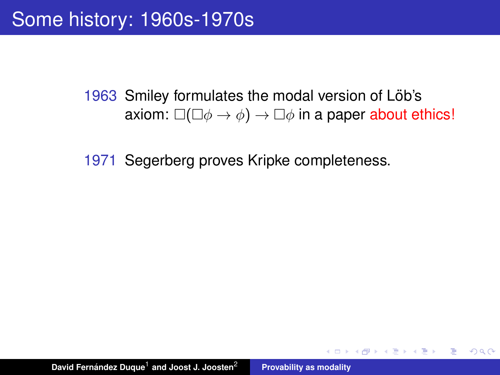(御) (ぼ) (語)

重  $2Q$ 

1971 Segerberg proves Kripke completeness.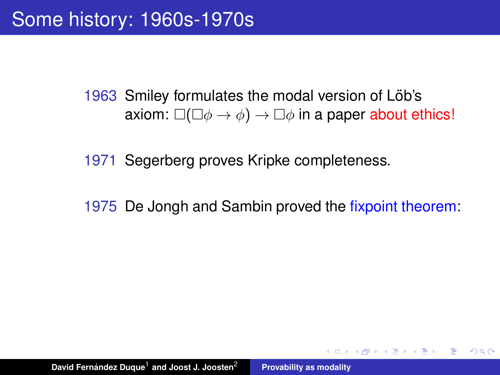1971 Segerberg proves Kripke completeness.

1975 De Jongh and Sambin proved the fixpoint theorem:

(御) メミンメミン

÷.  $2Q$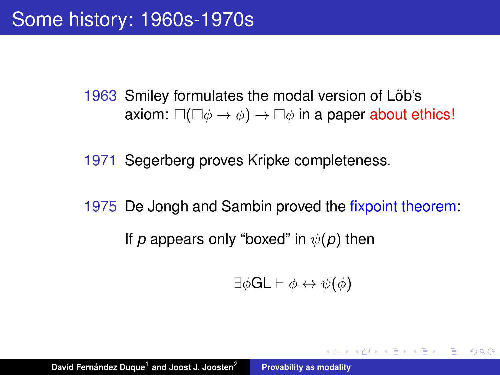1971 Segerberg proves Kripke completeness.

1975 De Jongh and Sambin proved the fixpoint theorem: If *p* appears only "boxed" in  $\psi(\rho)$  then

$$
\exists \phi \mathsf{GL} \vdash \phi \leftrightarrow \psi(\phi)
$$

◆ 御 \* \* 唐 \* \* 唐 \* …

 $\equiv$  990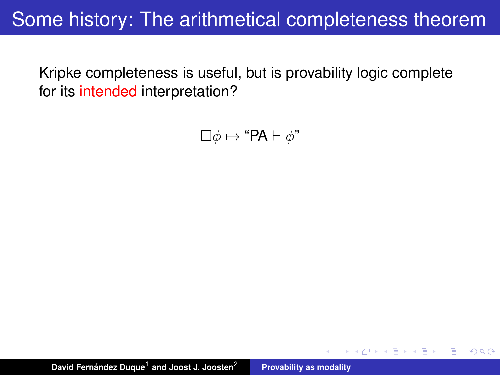## Some history: The arithmetical completeness theorem

Kripke completeness is useful, but is provability logic complete for its intended interpretation?

 $\Box \phi \mapsto \text{``PA} \vdash \phi$ "

( 御 ) ( 君 ) ( 君 )

É

 $QQ$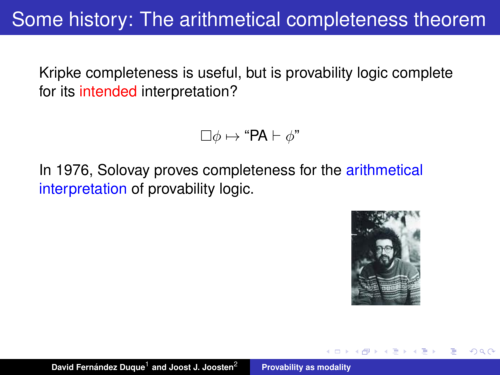Some history: The arithmetical completeness theorem

Kripke completeness is useful, but is provability logic complete for its intended interpretation?

 $\Box \phi \mapsto \text{``PA} \vdash \phi$ "

In 1976, Solovay proves completeness for the arithmetical interpretation of provability logic.

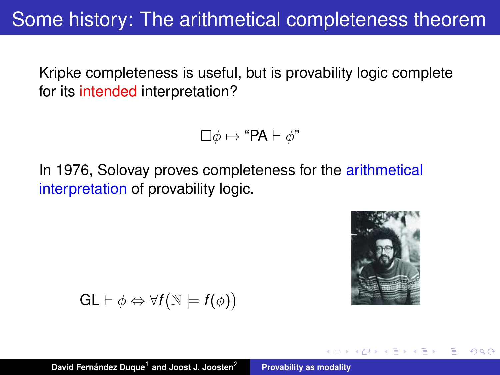Some history: The arithmetical completeness theorem

Kripke completeness is useful, but is provability logic complete for its intended interpretation?

$$
\Box \phi \mapsto \text{``PA} \vdash \phi\text{''}
$$

In 1976, Solovay proves completeness for the arithmetical interpretation of provability logic.



 $\Omega$ 

$$
GL \vdash \phi \Leftrightarrow \forall f(\mathbb{N} \models f(\phi))
$$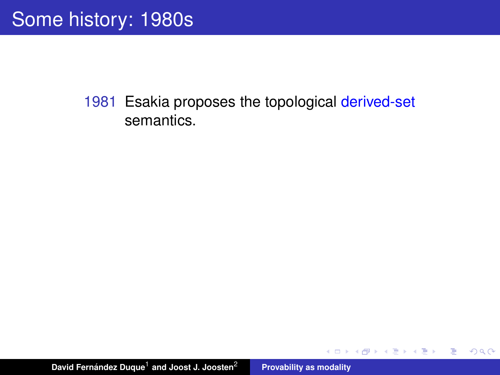イロメ イ部メ イヨメ イヨメー

重

 $298$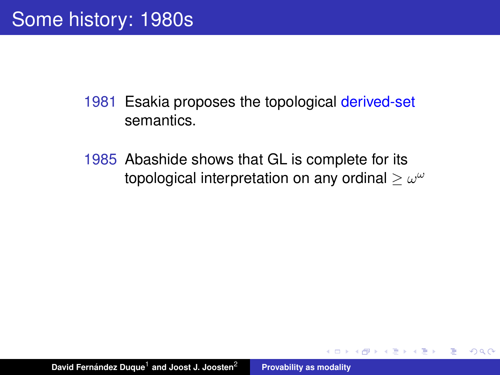1985 Abashide shows that GL is complete for its topological interpretation on any ordinal  $\geq \omega^\omega$ 

 $\overline{AB}$   $\rightarrow$   $\overline{AB}$   $\rightarrow$   $\overline{AB}$   $\rightarrow$ 

 $299$ 

重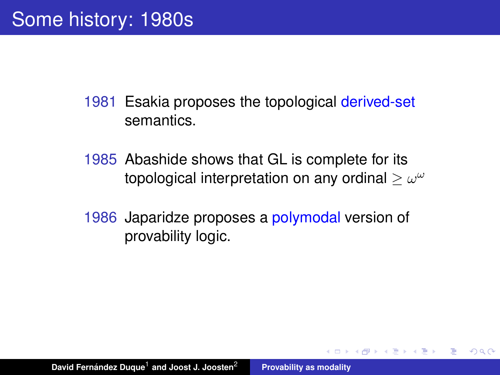- 1985 Abashide shows that GL is complete for its topological interpretation on any ordinal  $\geq \omega^\omega$
- 1986 Japaridze proposes a polymodal version of provability logic.

K 御 と K 唐 と K 唐 と

Þ

 $298$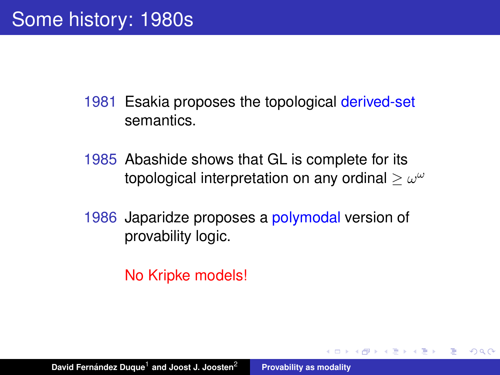- 1985 Abashide shows that GL is complete for its topological interpretation on any ordinal  $\geq \omega^\omega$
- 1986 Japaridze proposes a polymodal version of provability logic.

K 御 と K 唐 と K 唐 と

Þ  $2Q$ 

No Kripke models!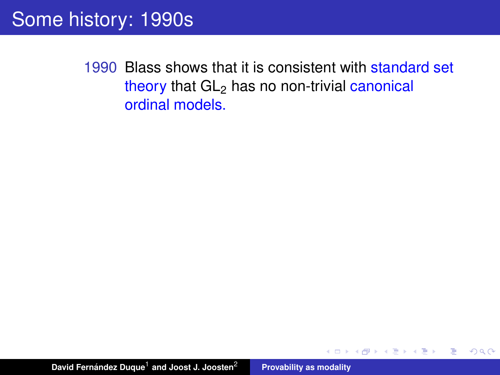$299$ 

重

K 御 ▶ K 唐 ▶ K 唐 ▶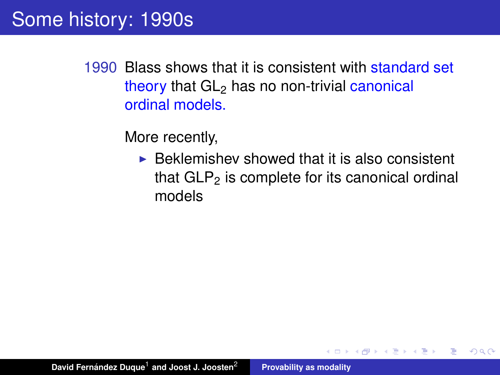More recently,

 $\triangleright$  Beklemishev showed that it is also consistent that  $GLP<sub>2</sub>$  is complete for its canonical ordinal models

重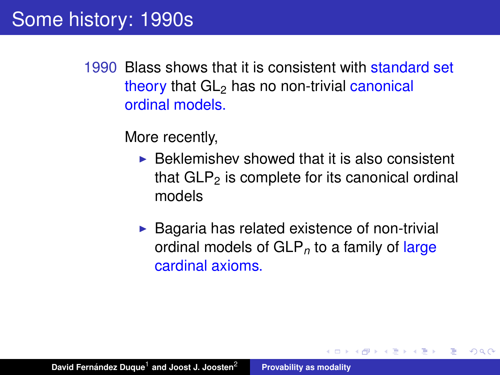More recently,

- $\triangleright$  Beklemishev showed that it is also consistent that  $GLP<sub>2</sub>$  is complete for its canonical ordinal models
- $\triangleright$  Bagaria has related existence of non-trivial ordinal models of GLP*<sup>n</sup>* to a family of large cardinal axioms.

 $\left\{ \bigoplus_k x_k \in \mathbb{R}^n \right\}$  ,  $\left\{ \bigoplus_k x_k \in \mathbb{R}^n \right\}$ 

Þ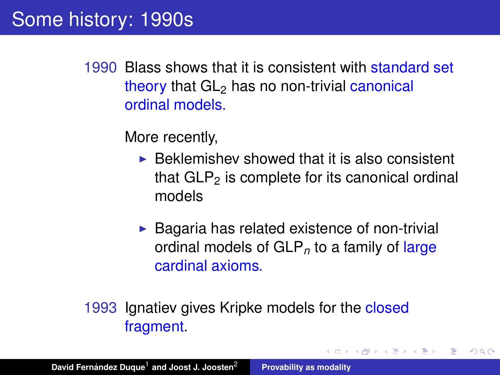More recently,

- $\triangleright$  Beklemishev showed that it is also consistent that  $GLP<sub>2</sub>$  is complete for its canonical ordinal models
- $\triangleright$  Bagaria has related existence of non-trivial ordinal models of GLP*<sup>n</sup>* to a family of large cardinal axioms.

す 伊 メ マ ヨ メ マ ヨ メ

Þ  $2Q$ 

1993 Ignatiev gives Kripke models for the closed fragment.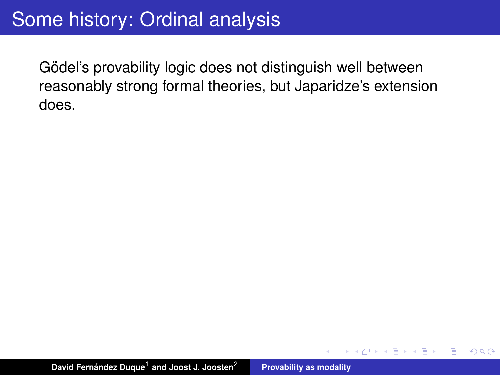Gödel's provability logic does not distinguish well between reasonably strong formal theories, but Japaridze's extension does.

4 何 ト 4 百 ト 4 百

Þ

 $298$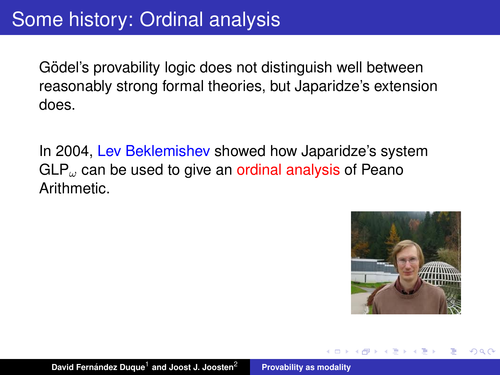Gödel's provability logic does not distinguish well between reasonably strong formal theories, but Japaridze's extension does.

In 2004, Lev Beklemishev showed how Japaridze's system GLP<sub>ω</sub> can be used to give an ordinal analysis of Peano Arithmetic.

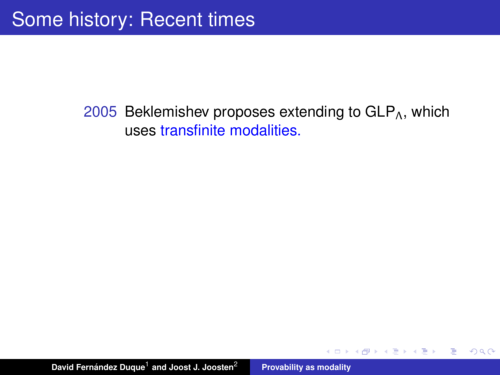#### 2005 Beklemishev proposes extending to  $GLP<sub>A</sub>$ , which uses transfinite modalities.

K 御 と K 唐 と K 唐 と…

 $299$ 

重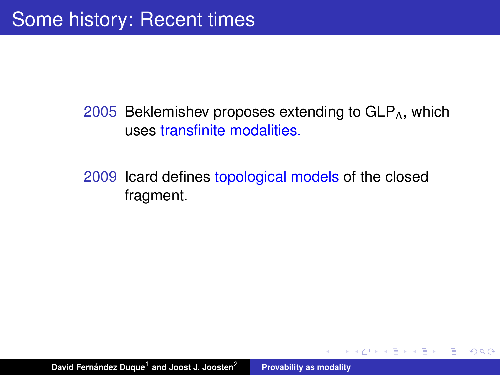2005 Beklemishev proposes extending to  $GLP_\Lambda$ , which uses transfinite modalities.

2009 Icard defines topological models of the closed fragment.

K 御 と K 唐 と K 唐 と

 $299$ 

重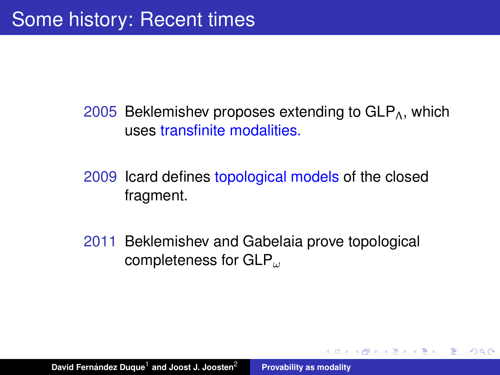2005 Beklemishev proposes extending to  $GLP_{\Lambda}$ , which uses transfinite modalities.

2009 Icard defines topological models of the closed fragment.

2011 Beklemishev and Gabelaia prove topological completeness for  $GLP_{\omega}$ 

K 御 と K 唐 と K 唐 と

重

 $QQ$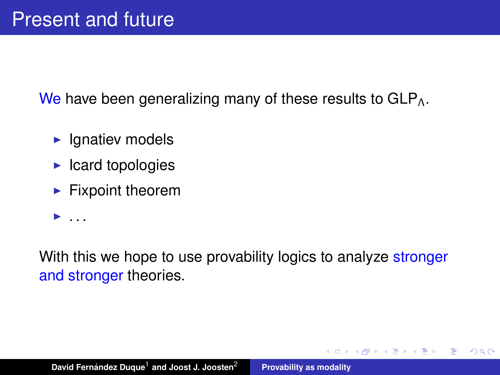We have been generalizing many of these results to  $GLP<sub>Λ</sub>$ .

- $\blacktriangleright$  Ignatiev models
- $\blacktriangleright$  Icard topologies
- $\blacktriangleright$  Fixpoint theorem
- $\blacktriangleright$  . . . .

With this we hope to use provability logics to analyze stronger and stronger theories.

K部 トメミメメミメー

重

 $2Q$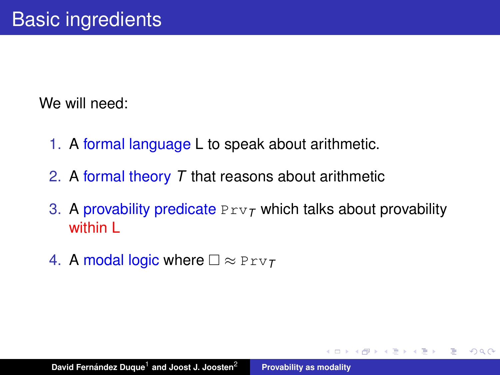We will need:

- 1. A formal language L to speak about arithmetic.
- 2. A formal theory *T* that reasons about arithmetic
- 3. A provability predicate  $Prv<sub>T</sub>$  which talks about provability within I

 $299$ 

Þ

4 何 ト 4 百 ト 4 百

4. A modal logic where  $\square \approx \text{Prv}_T$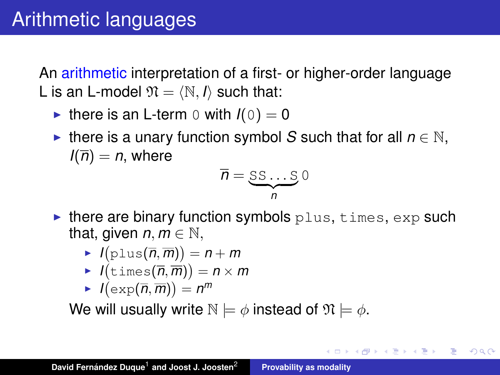An arithmetic interpretation of a first- or higher-order language L is an L-model  $\mathfrak{N} = \langle \mathbb{N}, I \rangle$  such that:

- If there is an L-term 0 with  $I(0) = 0$
- **►** there is a unary function symbol *S* such that for all  $n \in \mathbb{N}$ ,  $I(\overline{n}) = n$ , where

$$
\overline{n} = \underbrace{\text{SS} \dots \text{S}}_{n} 0
$$

メタメメ ミメメ ミメ

 $2Q$ 

- $\blacktriangleright$  there are binary function symbols  $plus$ , times, exp such that, given  $n, m \in \mathbb{N}$ ,
	- $I(\text{plus}(\overline{n}, \overline{m})) = n + m$
	- $I(\texttt{times}(\overline{n}, \overline{m})) = n \times m$
	- $I(\exp(\overline{n}, \overline{m})) = n^m$

We will usually write  $N \models \phi$  instead of  $\mathfrak{N} \models \phi$ .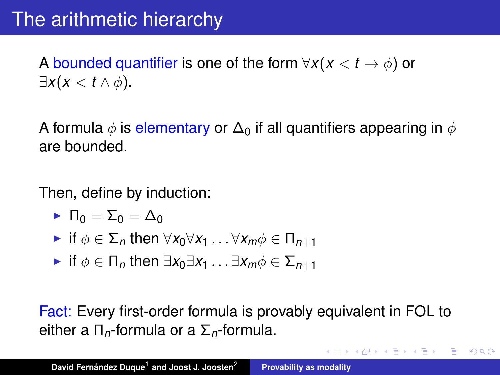# The arithmetic hierarchy

A bounded quantifier is one of the form  $\forall x (x \le t \to \phi)$  or  $\exists x(x < t \wedge \phi).$ 

A formula  $\phi$  is elementary or  $\Delta_0$  if all quantifiers appearing in  $\phi$ are bounded.

Then, define by induction:

- $\blacktriangleright$   $\Pi_0 = \Sigma_0 = \Delta_0$
- $\triangleright$  if  $\phi \in \Sigma_n$  then  $\forall x_0 \forall x_1 \dots \forall x_m \phi \in \Pi_{n+1}$
- <sup>I</sup> if φ ∈ Π*<sup>n</sup>* then ∃*x*0∃*x*<sup>1</sup> . . . ∃*xm*φ ∈ Σ*n*+<sup>1</sup>

Fact: Every first-order formula is provably equivalent in FOL to either a Π*n*-formula or a Σ*n*-formula.

イロメ イ部メ イヨメ イヨメー

 $2Q$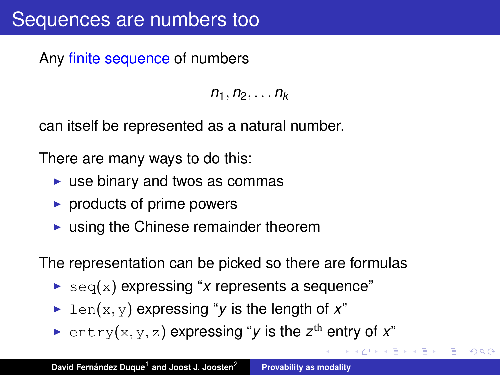Any finite sequence of numbers

 $n_1, n_2, \ldots n_k$ 

can itself be represented as a natural number.

There are many ways to do this:

- $\triangleright$  use binary and twos as commas
- $\triangleright$  products of prime powers
- $\blacktriangleright$  using the Chinese remainder theorem

The representation can be picked so there are formulas

- $\triangleright$  seq(x) expressing "*x* represents a sequence"
- $\blacktriangleright$  len(x, y) expressing "*y* is the length of *x*"
- $\blacktriangleright$  entry(x, y, z) expressing "*y* is the z<sup>th</sup> entry of *x*"

おす悪 おす悪 おし

重  $2990$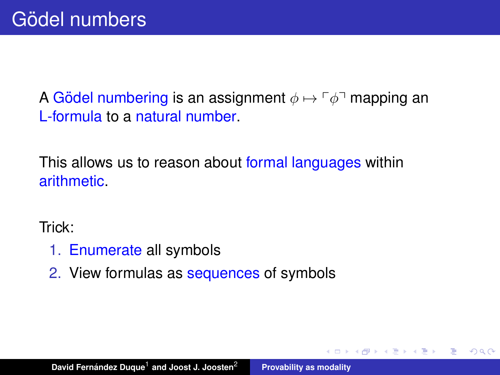A Gödel numbering is an assignment  $\phi \mapsto \phi$ <sup>-</sup> mapping an L-formula to a natural number.

This allows us to reason about formal languages within arithmetic.

Trick:

- 1. Enumerate all symbols
- 2. View formulas as sequences of symbols

 $\left\{ \bigoplus_k x_k \in \mathbb{R}^n \right\}$  ,  $\left\{ \bigoplus_k x_k \in \mathbb{R}^n \right\}$ 

Þ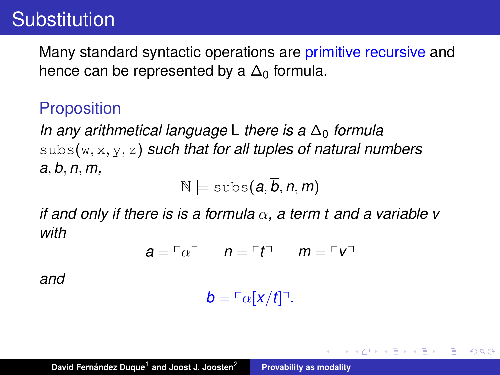## Substitution

Many standard syntactic operations are primitive recursive and hence can be represented by a  $\Delta_0$  formula.

### **Proposition**

*In any arithmetical language* L *there is a* ∆<sub>0</sub> *formula* subs(w, x, y, z) *such that for all tuples of natural numbers a*, *b*, *n*, *m,*

 $N \models \text{subs}(\overline{a}, \overline{b}, \overline{n}, \overline{m})$ 

*if and only if there is is a formula*  $\alpha$ , a term t and a variable v *with*

$$
a = \ulcorner \alpha \urcorner \qquad n = \ulcorner t \urcorner \qquad m = \ulcorner v \urcorner
$$

*and*

 $b = \lceil \alpha |x/t| \rceil$ .

す 御 メ イ 重 メ イ 重 メー

重

 $2Q$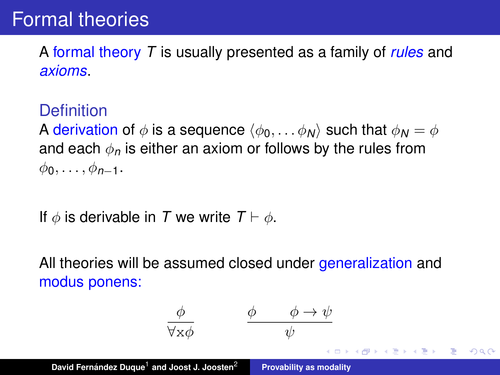## Formal theories

A formal theory *T* is usually presented as a family of *rules* and *axioms*.

### **Definition**

A derivation of  $\phi$  is a sequence  $\langle \phi_0, \ldots, \phi_N \rangle$  such that  $\phi_N = \phi$ and each  $\phi_n$  is either an axiom or follows by the rules from  $\phi_0, \ldots, \phi_{n-1}$ .

If  $\phi$  is derivable in *T* we write  $T \vdash \phi$ .

All theories will be assumed closed under generalization and modus ponens:

$$
\begin{array}{ccccc}\n\phi & \phi & \phi \rightarrow \psi \\
\hline\n\forall x \phi & \psi & \\
\hline\n\end{array}
$$
\nDavid Fermández Duque<sup>1</sup> and Joost U. Joosten<sup>2</sup> Provability as modality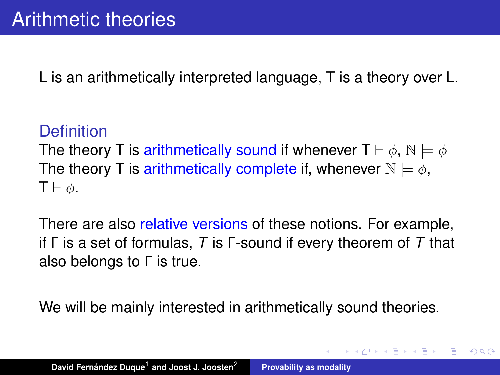L is an arithmetically interpreted language, T is a theory over L.

### **Definition**

The theory T is arithmetically sound if whenever  $T \vdash \phi$ ,  $\mathbb{N} \models \phi$ The theory T is arithmetically complete if, whenever  $\mathbb{N} \models \phi$ .  $T \vdash \phi$ .

There are also relative versions of these notions. For example, if Γ is a set of formulas, *T* is Γ-sound if every theorem of *T* that also belongs to Γ is true.

We will be mainly interested in arithmetically sound theories.

K 御 と K 唐 と K 唐 と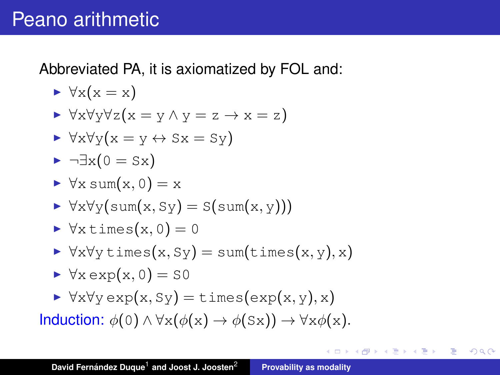Abbreviated PA, it is axiomatized by FOL and:

$$
\blacktriangleright \forall x(x=x)
$$

$$
\blacktriangleright \forall x \forall y \forall z (x = y \land y = z \to x = z)
$$

$$
\blacktriangleright \forall x \forall y (x = y \leftrightarrow Sx = Sy)
$$

$$
\blacktriangleright \neg \exists x (0 = Sx)
$$

$$
\blacktriangleright \forall x \text{ sum}(x, 0) = x
$$

$$
\blacktriangleright \forall x \forall y (\text{sum}(x, \text{S}y) = \text{S}(\text{sum}(x, y)))
$$

$$
\blacktriangleright \forall x \, \text{times}(x, 0) = 0
$$

- $\triangleright \forall x \forall y \exists x (x, Sy) = \text{sum}(\exists x, y), x$
- $\triangleright \forall x \exp(x, 0) = S0$
- $\triangleright \forall x \forall y \exp(x, Sy) = \text{times}(\exp(x, y), x)$

Induction:  $\phi(0) \wedge \forall x (\phi(x) \rightarrow \phi(Sx)) \rightarrow \forall x \phi(x)$ .

重

 $298$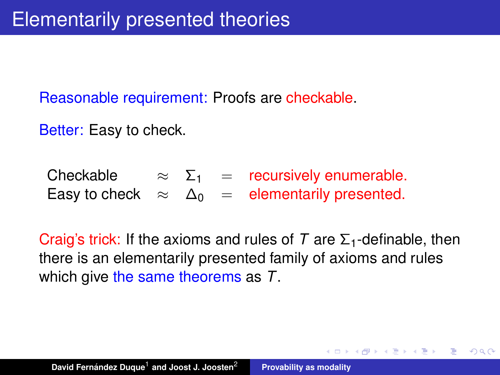Reasonable requirement: Proofs are checkable.

Better: Easy to check.

Checkable  $\approx \Sigma_1$  = recursively enumerable. Easy to check  $\approx \Delta_0 =$  elementarily presented.

Craig's trick: If the axioms and rules of  $T$  are  $\Sigma_1$ -definable, then there is an elementarily presented family of axioms and rules which give the same theorems as *T*.

(御) (ぼ) (語)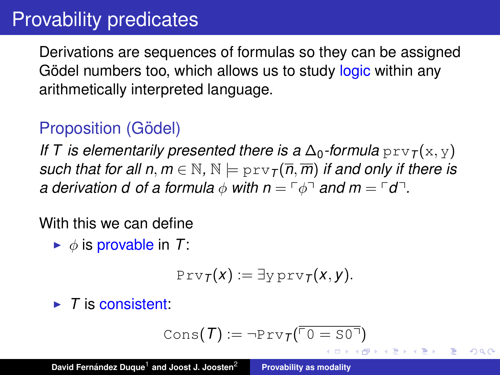# Provability predicates

Derivations are sequences of formulas so they can be assigned Gödel numbers too, which allows us to study logic within any arithmetically interpreted language.

### Proposition (Gödel)

*If* T is elementarily presented there is a  $\Delta_0$ -formula prv<sub>T</sub>(x, y) *such that for all n, m*  $\in$  N, N  $\models$  prv $\tau(\overline{n}, \overline{m})$  *if and only if there is a derivation d of a formula*  $\phi$  *with*  $n = \lceil \phi \rceil$  *and*  $m = \lceil d \rceil$ *.* 

With this we can define

 $\blacktriangleright$   $\phi$  is provable in T:

$$
\text{Prv}_{\mathcal{T}}(x) := \exists y \, \text{prv}_{\mathcal{T}}(x, y).
$$

 $\blacktriangleright$  *T* is consistent:

$$
\text{Cons}(\mathcal{T}) := \neg \text{Priv}_{\mathcal{T}}(\overline{\ulcorner 0} = \text{SO}^{\top})
$$

 $QQ$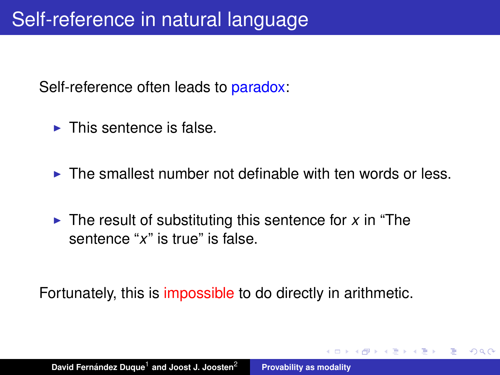Self-reference often leads to paradox:

- $\blacktriangleright$  This sentence is false.
- $\triangleright$  The smallest number not definable with ten words or less.

 $QQQ$ 

 $\triangleright$  The result of substituting this sentence for *x* in "The sentence "*x*" is true" is false.

Fortunately, this is impossible to do directly in arithmetic.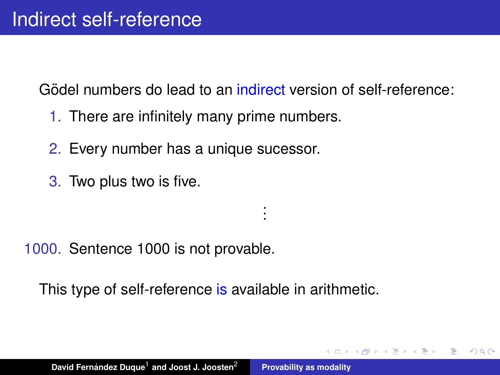Gödel numbers do lead to an indirect version of self-reference:

. . .

 $QQQ$ 

- 1. There are infinitely many prime numbers.
- 2. Every number has a unique sucessor.
- 3. Two plus two is five.

1000. Sentence 1000 is not provable.

This type of self-reference is available in arithmetic.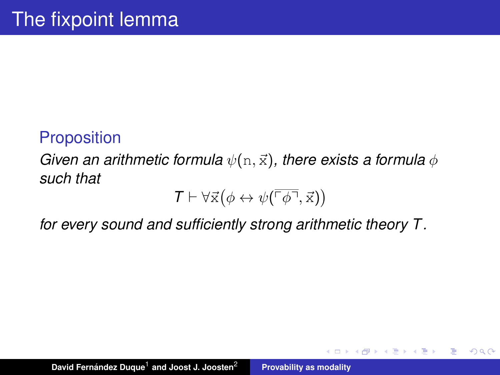### **Proposition**

*Given an arithmetic formula*  $\psi(n, \vec{x})$ *, there exists a formula*  $\phi$ *such that*

$$
\mathcal{T}\vdash \forall\vec{x}\big(\phi\leftrightarrow \psi(\overline{\ulcorner\phi\urcorner},\vec{x}\big)\big)
$$

K 御 と K 唐 と K 唐 と

 $299$ 

重

*for every sound and sufficiently strong arithmetic theory T .*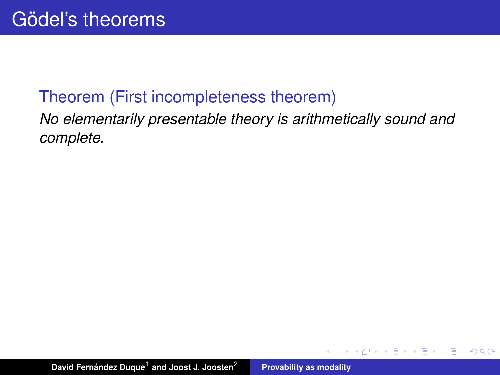### Theorem (First incompleteness theorem)

*No elementarily presentable theory is arithmetically sound and complete.*

 $299$ 

重

(母)

- 4 周 8 3 周 8